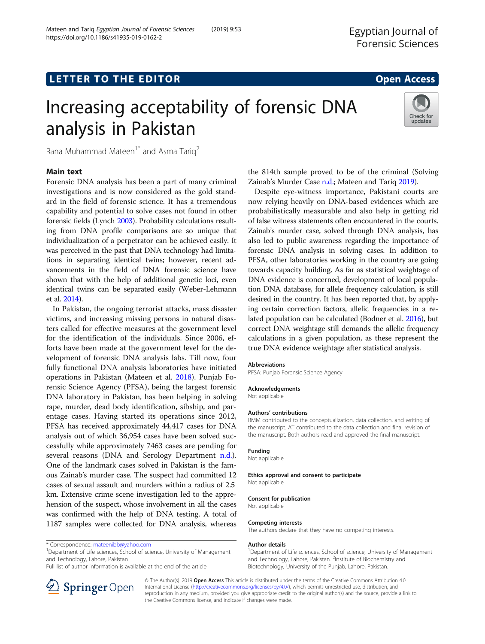Mateen and Tariq Egyptian Journal of Forensic Sciences (2019) 9:53

## **LETTER TO THE EDITOR CONSTRUCTED ACCESS**

# Increasing acceptability of forensic DNA analysis in Pakistan



Rana Muhammad Mateen<sup>1\*</sup> and Asma Tariq<sup>2</sup>

## Main text

Forensic DNA analysis has been a part of many criminal investigations and is now considered as the gold standard in the field of forensic science. It has a tremendous capability and potential to solve cases not found in other forensic fields (Lynch [2003\)](#page-1-0). Probability calculations resulting from DNA profile comparisons are so unique that individualization of a perpetrator can be achieved easily. It was perceived in the past that DNA technology had limitations in separating identical twins; however, recent advancements in the field of DNA forensic science have shown that with the help of additional genetic loci, even identical twins can be separated easily (Weber-Lehmann et al. [2014\)](#page-1-0).

In Pakistan, the ongoing terrorist attacks, mass disaster victims, and increasing missing persons in natural disasters called for effective measures at the government level for the identification of the individuals. Since 2006, efforts have been made at the government level for the development of forensic DNA analysis labs. Till now, four fully functional DNA analysis laboratories have initiated operations in Pakistan (Mateen et al. [2018](#page-1-0)). Punjab Forensic Science Agency (PFSA), being the largest forensic DNA laboratory in Pakistan, has been helping in solving rape, murder, dead body identification, sibship, and parentage cases. Having started its operations since 2012, PFSA has received approximately 44,417 cases for DNA analysis out of which 36,954 cases have been solved successfully while approximately 7463 cases are pending for several reasons (DNA and Serology Department [n.d.](#page-1-0)). One of the landmark cases solved in Pakistan is the famous Zainab's murder case. The suspect had committed 12 cases of sexual assault and murders within a radius of 2.5 km. Extensive crime scene investigation led to the apprehension of the suspect, whose involvement in all the cases was confirmed with the help of DNA testing. A total of 1187 samples were collected for DNA analysis, whereas

<sup>1</sup>Department of Life sciences, School of science, University of Management and Technology, Lahore, Pakistan

Full list of author information is available at the end of the article



the 814th sample proved to be of the criminal (Solving Zainab's Murder Case [n.d.;](#page-1-0) Mateen and Tariq [2019\)](#page-1-0).

Despite eye-witness importance, Pakistani courts are now relying heavily on DNA-based evidences which are probabilistically measurable and also help in getting rid of false witness statements often encountered in the courts. Zainab's murder case, solved through DNA analysis, has also led to public awareness regarding the importance of forensic DNA analysis in solving cases. In addition to PFSA, other laboratories working in the country are going towards capacity building. As far as statistical weightage of DNA evidence is concerned, development of local population DNA database, for allele frequency calculation, is still desired in the country. It has been reported that, by applying certain correction factors, allelic frequencies in a related population can be calculated (Bodner et al. [2016](#page-1-0)), but correct DNA weightage still demands the allelic frequency calculations in a given population, as these represent the true DNA evidence weightage after statistical analysis.

#### Abbreviations

PFSA: Punjab Forensic Science Agency

## Acknowledgements

Not applicable

#### Authors' contributions

RMM contributed to the conceptualization, data collection, and writing of the manuscript. AT contributed to the data collection and final revision of the manuscript. Both authors read and approved the final manuscript.

## Funding

Not applicable

#### Ethics approval and consent to participate Not applicable

## Consent for publication

Not applicable

## Competing interests

The authors declare that they have no competing interests.

#### Author details

<sup>1</sup>Department of Life sciences, School of science, University of Management and Technology, Lahore, Pakistan. <sup>2</sup>Institute of Biochemistry and Biotechnology, University of the Punjab, Lahore, Pakistan.

© The Author(s). 2019 Open Access This article is distributed under the terms of the Creative Commons Attribution 4.0 International License ([http://creativecommons.org/licenses/by/4.0/\)](http://creativecommons.org/licenses/by/4.0/), which permits unrestricted use, distribution, and reproduction in any medium, provided you give appropriate credit to the original author(s) and the source, provide a link to the Creative Commons license, and indicate if changes were made.

<sup>\*</sup> Correspondence: [mateenibb@yahoo.com](mailto:mateenibb@yahoo.com) <sup>1</sup>